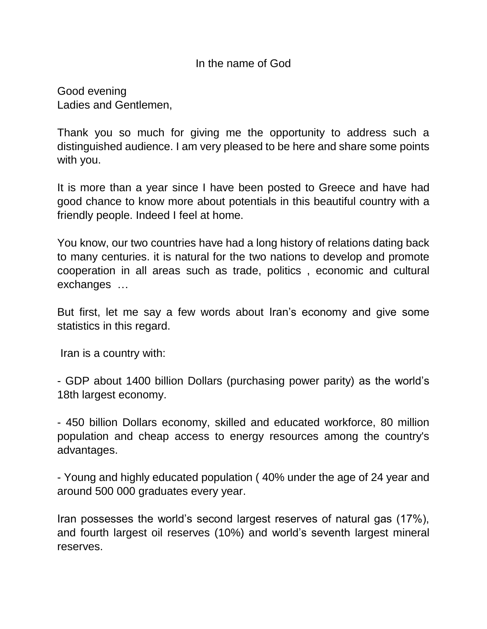## In the name of God

Good evening Ladies and Gentlemen,

Thank you so much for giving me the opportunity to address such a distinguished audience. I am very pleased to be here and share some points with you.

It is more than a year since I have been posted to Greece and have had good chance to know more about potentials in this beautiful country with a friendly people. Indeed I feel at home.

You know, our two countries have had a long history of relations dating back to many centuries. it is natural for the two nations to develop and promote cooperation in all areas such as trade, politics , economic and cultural exchanges …

But first, let me say a few words about Iran's economy and give some statistics in this regard.

Iran is a country with:

- GDP about 1400 billion Dollars (purchasing power parity) as the world's 18th largest economy.

- 450 billion Dollars economy, skilled and educated workforce, 80 million population and cheap access to energy resources among the country's advantages.

- Young and highly educated population ( 40% under the age of 24 year and around 500 000 graduates every year.

Iran possesses the world's second largest reserves of natural gas (17%), and fourth largest oil reserves (10%) and world's seventh largest mineral reserves.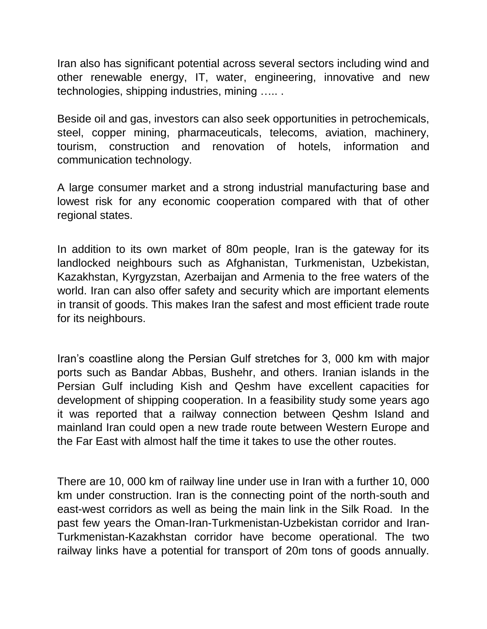Iran also has significant potential across several sectors including wind and other renewable energy, IT, water, engineering, innovative and new technologies, shipping industries, mining ….. .

Beside oil and gas, investors can also seek opportunities in petrochemicals, steel, copper mining, pharmaceuticals, telecoms, aviation, machinery, tourism, construction and renovation of hotels, information and communication technology.

A large consumer market and a strong industrial manufacturing base and lowest risk for any economic cooperation compared with that of other regional states.

In addition to its own market of 80m people, Iran is the gateway for its landlocked neighbours such as Afghanistan, Turkmenistan, Uzbekistan, Kazakhstan, Kyrgyzstan, Azerbaijan and Armenia to the free waters of the world. Iran can also offer safety and security which are important elements in transit of goods. This makes Iran the safest and most efficient trade route for its neighbours.

Iran's coastline along the Persian Gulf stretches for 3, 000 km with major ports such as Bandar Abbas, Bushehr, and others. Iranian islands in the Persian Gulf including Kish and Qeshm have excellent capacities for development of shipping cooperation. In a feasibility study some years ago it was reported that a railway connection between Qeshm Island and mainland Iran could open a new trade route between Western Europe and the Far East with almost half the time it takes to use the other routes.

There are 10, 000 km of railway line under use in Iran with a further 10, 000 km under construction. Iran is the connecting point of the north-south and east-west corridors as well as being the main link in the Silk Road. In the past few years the Oman-Iran-Turkmenistan-Uzbekistan corridor and Iran-Turkmenistan-Kazakhstan corridor have become operational. The two railway links have a potential for transport of 20m tons of goods annually.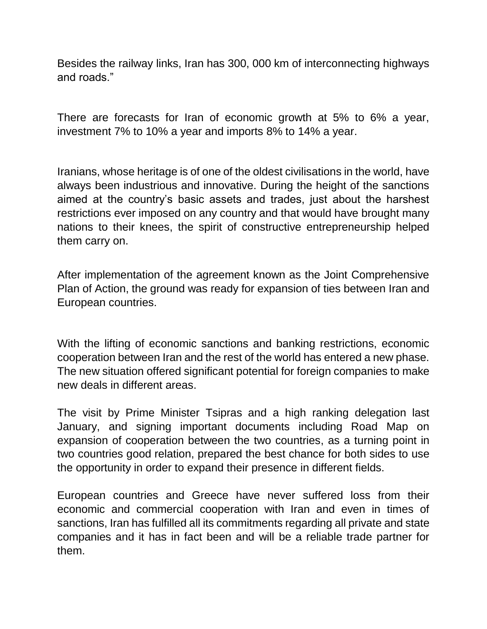Besides the railway links, Iran has 300, 000 km of interconnecting highways and roads."

There are forecasts for Iran of economic growth at 5% to 6% a year, investment 7% to 10% a year and imports 8% to 14% a year.

Iranians, whose heritage is of one of the oldest civilisations in the world, have always been industrious and innovative. During the height of the sanctions aimed at the country's basic assets and trades, just about the harshest restrictions ever imposed on any country and that would have brought many nations to their knees, the spirit of constructive entrepreneurship helped them carry on.

After implementation of the agreement known as the Joint Comprehensive Plan of Action, the ground was ready for expansion of ties between Iran and European countries.

With the lifting of economic sanctions and banking restrictions, economic cooperation between Iran and the rest of the world has entered a new phase. The new situation offered significant potential for foreign companies to make new deals in different areas.

The visit by Prime Minister Tsipras and a high ranking delegation last January, and signing important documents including Road Map on expansion of cooperation between the two countries, as a turning point in two countries good relation, prepared the best chance for both sides to use the opportunity in order to expand their presence in different fields.

European countries and Greece have never suffered loss from their economic and commercial cooperation with Iran and even in times of sanctions, Iran has fulfilled all its commitments regarding all private and state companies and it has in fact been and will be a reliable trade partner for them.